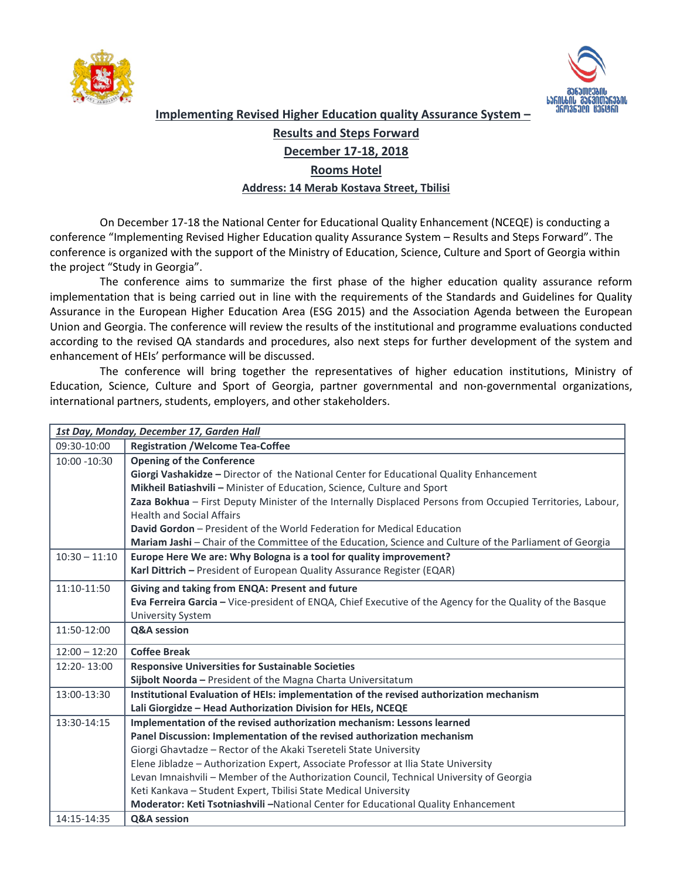



**Implementing Revised Higher Education quality Assurance System –**

## **Results and Steps Forward**

## **December 17-18, 2018**

## **Rooms Hotel**

## **Address: 14 Merab Kostava Street, Tbilisi**

On December 17-18 the National Center for Educational Quality Enhancement (NCEQE) is conducting a conference "Implementing Revised Higher Education quality Assurance System – Results and Steps Forward". The conference is organized with the support of the Ministry of Education, Science, Culture and Sport of Georgia within the project "Study in Georgia".

The conference aims to summarize the first phase of the higher education quality assurance reform implementation that is being carried out in line with the requirements of the Standards and Guidelines for Quality Assurance in the European Higher Education Area (ESG 2015) and the Association Agenda between the European Union and Georgia. The conference will review the results of the institutional and programme evaluations conducted according to the revised QA standards and procedures, also next steps for further development of the system and enhancement of HEIs' performance will be discussed.

The conference will bring together the representatives of higher education institutions, Ministry of Education, Science, Culture and Sport of Georgia, partner governmental and non-governmental organizations, international partners, students, employers, and other stakeholders.

| 1st Day, Monday, December 17, Garden Hall                               |                                                                                                            |  |  |
|-------------------------------------------------------------------------|------------------------------------------------------------------------------------------------------------|--|--|
| 09:30-10:00                                                             | <b>Registration / Welcome Tea-Coffee</b>                                                                   |  |  |
| $10:00 - 10:30$                                                         | <b>Opening of the Conference</b>                                                                           |  |  |
|                                                                         | Giorgi Vashakidze - Director of the National Center for Educational Quality Enhancement                    |  |  |
|                                                                         | Mikheil Batiashvili - Minister of Education, Science, Culture and Sport                                    |  |  |
|                                                                         | Zaza Bokhua - First Deputy Minister of the Internally Displaced Persons from Occupied Territories, Labour, |  |  |
|                                                                         | <b>Health and Social Affairs</b>                                                                           |  |  |
|                                                                         | <b>David Gordon</b> – President of the World Federation for Medical Education                              |  |  |
|                                                                         | Mariam Jashi - Chair of the Committee of the Education, Science and Culture of the Parliament of Georgia   |  |  |
| $10:30 - 11:10$                                                         | Europe Here We are: Why Bologna is a tool for quality improvement?                                         |  |  |
|                                                                         | Karl Dittrich - President of European Quality Assurance Register (EQAR)                                    |  |  |
| 11:10-11:50                                                             | Giving and taking from ENQA: Present and future                                                            |  |  |
|                                                                         | Eva Ferreira Garcia - Vice-president of ENQA, Chief Executive of the Agency for the Quality of the Basque  |  |  |
|                                                                         | <b>University System</b>                                                                                   |  |  |
| 11:50-12:00                                                             | <b>Q&amp;A</b> session                                                                                     |  |  |
| $12:00 - 12:20$                                                         | <b>Coffee Break</b>                                                                                        |  |  |
| 12:20-13:00                                                             | <b>Responsive Universities for Sustainable Societies</b>                                                   |  |  |
|                                                                         | Sijbolt Noorda - President of the Magna Charta Universitatum                                               |  |  |
| 13:00-13:30                                                             | Institutional Evaluation of HEIs: implementation of the revised authorization mechanism                    |  |  |
|                                                                         | Lali Giorgidze - Head Authorization Division for HEIs, NCEQE                                               |  |  |
| 13:30-14:15                                                             | Implementation of the revised authorization mechanism: Lessons learned                                     |  |  |
| Panel Discussion: Implementation of the revised authorization mechanism |                                                                                                            |  |  |
|                                                                         | Giorgi Ghavtadze - Rector of the Akaki Tsereteli State University                                          |  |  |
|                                                                         | Elene Jibladze - Authorization Expert, Associate Professor at Ilia State University                        |  |  |
|                                                                         | Levan Imnaishvili - Member of the Authorization Council, Technical University of Georgia                   |  |  |
|                                                                         | Keti Kankava - Student Expert, Tbilisi State Medical University                                            |  |  |
|                                                                         | Moderator: Keti Tsotniashvili -National Center for Educational Quality Enhancement                         |  |  |
| 14:15-14:35                                                             | Q&A session                                                                                                |  |  |